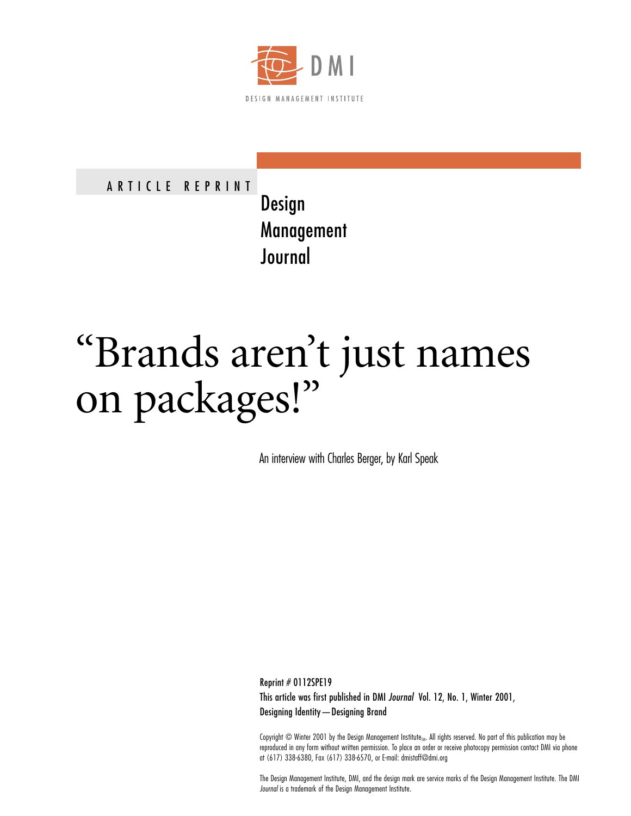

ARTICLE REPRINT

Design Management Journal

## "Brands aren't just names on packages!"

An interview with Charles Berger, by Karl Speak

Reprint # 0112SPE19 This article was first published in DMI *Journal* Vol. 12, No. 1, Winter 2001, Designing Identity—Designing Brand

Copyright © Winter 2001 by the Design Management Institute<sub>SM</sub>. All rights reserved. No part of this publication may be reproduced in any form without written permission. To place an order or receive photocopy permission contact DMI via phone at (617) 338-6380, Fax (617) 338-6570, or E-mail: dmistaff@dmi.org

The Design Management Institute, DMI, and the design mark are service marks of the Design Management Institute. The DMI *Journal* is a trademark of the Design Management Institute.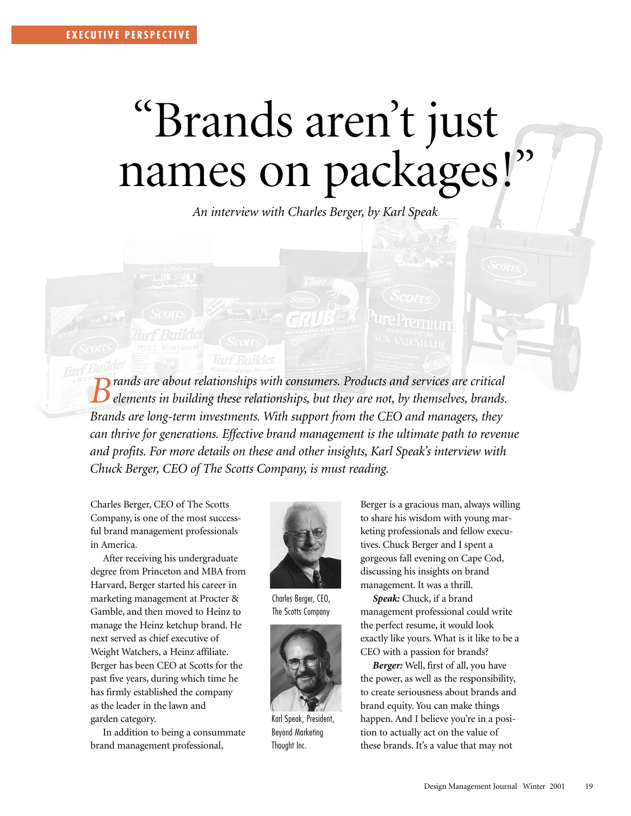## "Brands aren't just names on packages!"

*An interview with Charles Berger, by Karl Speak*

*Brands are about relationships with consumers. Products and services are critical elements in building these relationships, but they are not, by themselves, brands. Brands are long-term investments. With support from the CEO and managers, they can thrive for generations. Effective brand management is the ultimate path to revenue and profits. For more details on these and other insights, Karl Speak's interview with Chuck Berger, CEO of The Scotts Company, is must reading.*

Charles Berger, CEO of The Scotts Company, is one of the most successful brand management professionals in America.

After receiving his undergraduate degree from Princeton and MBA from Harvard, Berger started his career in marketing management at Procter & Gamble, and then moved to Heinz to manage the Heinz ketchup brand. He next served as chief executive of Weight Watchers, a Heinz affiliate. Berger has been CEO at Scotts for the past five years, during which time he has firmly established the company as the leader in the lawn and garden category.

In addition to being a consummate brand management professional,



Charles Berger, CEO, The Scotts Company



Karl Speak, President, Beyond Marketing Thought Inc.

Berger is a gracious man, always willing to share his wisdom with young marketing professionals and fellow executives. Chuck Berger and I spent a gorgeous fall evening on Cape Cod, discussing his insights on brand management. It was a thrill.

*Speak:* Chuck, if a brand management professional could write the perfect resume, it would look exactly like yours. What is it like to be a CEO with a passion for brands?

*Berger:* Well, first of all, you have the power, as well as the responsibility, to create seriousness about brands and brand equity. You can make things happen. And I believe you're in a position to actually act on the value of these brands. It's a value that may not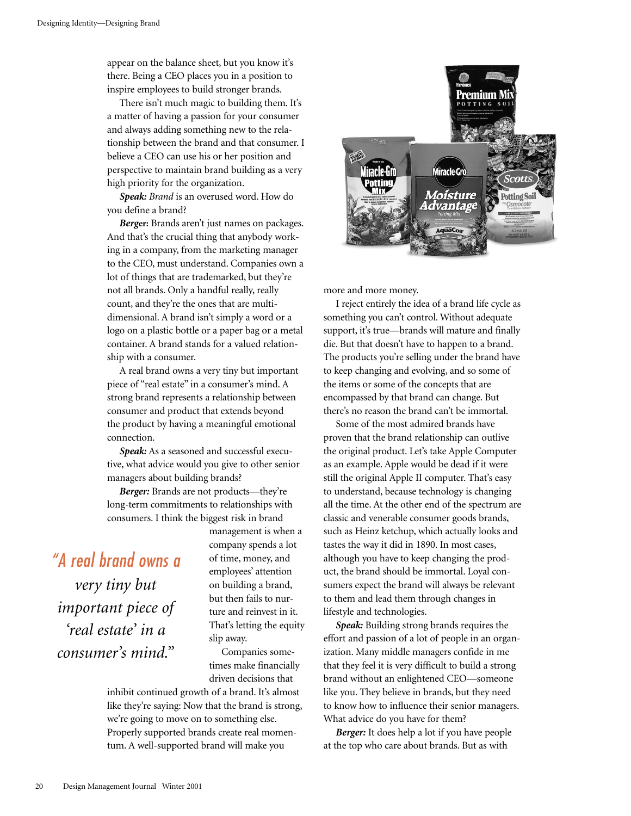appear on the balance sheet, but you know it's there. Being a CEO places you in a position to inspire employees to build stronger brands.

There isn't much magic to building them. It's a matter of having a passion for your consumer and always adding something new to the relationship between the brand and that consumer. I believe a CEO can use his or her position and perspective to maintain brand building as a very high priority for the organization.

*Speak: Brand* is an overused word. How do you define a brand?

*Berg***er:** Brands aren't just names on packages. And that's the crucial thing that anybody working in a company, from the marketing manager to the CEO, must understand. Companies own a lot of things that are trademarked, but they're not all brands. Only a handful really, really count, and they're the ones that are multidimensional. A brand isn't simply a word or a logo on a plastic bottle or a paper bag or a metal container. A brand stands for a valued relationship with a consumer.

A real brand owns a very tiny but important piece of "real estate" in a consumer's mind. A strong brand represents a relationship between consumer and product that extends beyond the product by having a meaningful emotional connection.

*Speak:* As a seasoned and successful executive, what advice would you give to other senior managers about building brands?

*Berger:* Brands are not products—they're long-term commitments to relationships with consumers. I think the biggest risk in brand

*"A real brand owns a very tiny but important piece of 'real estate' in a consumer's mind."*

management is when a company spends a lot of time, money, and employees' attention on building a brand, but then fails to nurture and reinvest in it. That's letting the equity slip away.

Companies sometimes make financially driven decisions that

inhibit continued growth of a brand. It's almost like they're saying: Now that the brand is strong, we're going to move on to something else. Properly supported brands create real momentum. A well-supported brand will make you



more and more money.

I reject entirely the idea of a brand life cycle as something you can't control. Without adequate support, it's true—brands will mature and finally die. But that doesn't have to happen to a brand. The products you're selling under the brand have to keep changing and evolving, and so some of the items or some of the concepts that are encompassed by that brand can change. But there's no reason the brand can't be immortal.

Some of the most admired brands have proven that the brand relationship can outlive the original product. Let's take Apple Computer as an example. Apple would be dead if it were still the original Apple II computer. That's easy to understand, because technology is changing all the time. At the other end of the spectrum are classic and venerable consumer goods brands, such as Heinz ketchup, which actually looks and tastes the way it did in 1890. In most cases, although you have to keep changing the product, the brand should be immortal. Loyal consumers expect the brand will always be relevant to them and lead them through changes in lifestyle and technologies.

*Speak:* Building strong brands requires the effort and passion of a lot of people in an organization. Many middle managers confide in me that they feel it is very difficult to build a strong brand without an enlightened CEO—someone like you. They believe in brands, but they need to know how to influence their senior managers. What advice do you have for them?

*Berger:* It does help a lot if you have people at the top who care about brands. But as with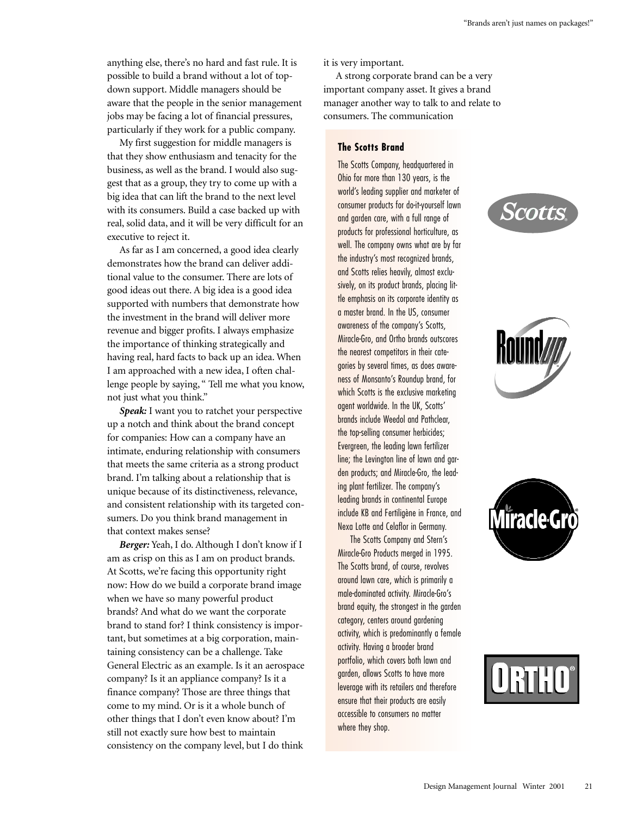anything else, there's no hard and fast rule. It is possible to build a brand without a lot of topdown support. Middle managers should be aware that the people in the senior management jobs may be facing a lot of financial pressures, particularly if they work for a public company.

My first suggestion for middle managers is that they show enthusiasm and tenacity for the business, as well as the brand. I would also suggest that as a group, they try to come up with a big idea that can lift the brand to the next level with its consumers. Build a case backed up with real, solid data, and it will be very difficult for an executive to reject it.

As far as I am concerned, a good idea clearly demonstrates how the brand can deliver additional value to the consumer. There are lots of good ideas out there. A big idea is a good idea supported with numbers that demonstrate how the investment in the brand will deliver more revenue and bigger profits. I always emphasize the importance of thinking strategically and having real, hard facts to back up an idea. When I am approached with a new idea, I often challenge people by saying, " Tell me what you know, not just what you think."

*Speak:* I want you to ratchet your perspective up a notch and think about the brand concept for companies: How can a company have an intimate, enduring relationship with consumers that meets the same criteria as a strong product brand. I'm talking about a relationship that is unique because of its distinctiveness, relevance, and consistent relationship with its targeted consumers. Do you think brand management in that context makes sense?

*Berger:* Yeah, I do. Although I don't know if I am as crisp on this as I am on product brands. At Scotts, we're facing this opportunity right now: How do we build a corporate brand image when we have so many powerful product brands? And what do we want the corporate brand to stand for? I think consistency is important, but sometimes at a big corporation, maintaining consistency can be a challenge. Take General Electric as an example. Is it an aerospace company? Is it an appliance company? Is it a finance company? Those are three things that come to my mind. Or is it a whole bunch of other things that I don't even know about? I'm still not exactly sure how best to maintain consistency on the company level, but I do think

it is very important.

A strong corporate brand can be a very important company asset. It gives a brand manager another way to talk to and relate to consumers. The communication

## **The Scotts Brand**

The Scotts Company, headquartered in Ohio for more than 130 years, is the world's leading supplier and marketer of consumer products for do-it-yourself lawn and garden care, with a full range of products for professional horticulture, as well. The company owns what are by far the industry's most recognized brands, and Scotts relies heavily, almost exclusively, on its product brands, placing little emphasis on its corporate identity as a master brand. In the US, consumer awareness of the company's Scotts, Miracle-Gro, and Ortho brands outscores the nearest competitors in their categories by several times, as does awareness of Monsanto's Roundup brand, for which Scotts is the exclusive marketing agent worldwide. In the UK, Scotts' brands include Weedol and Pathclear, the top-selling consumer herbicides; Evergreen, the leading lawn fertilizer line; the Levington line of lawn and garden products; and Miracle-Gro, the leading plant fertilizer. The company's leading brands in continental Europe include KB and Fertiligène in France, and Nexa Lotte and Celaflor in Germany.

The Scotts Company and Stern's Miracle-Gro Products merged in 1995. The Scotts brand, of course, revolves around lawn care, which is primarily a male-dominated activity. Miracle-Gro's brand equity, the strongest in the garden category, centers around gardening activity, which is predominantly a female activity. Having a broader brand portfolio, which covers both lawn and garden, allows Scotts to have more leverage with its retailers and therefore ensure that their products are easily accessible to consumers no matter where they shop.







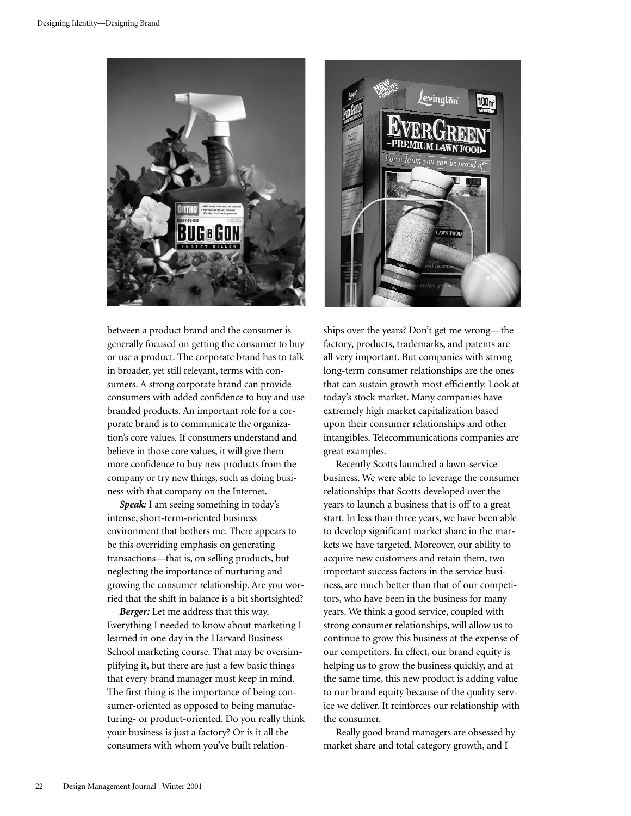

between a product brand and the consumer is generally focused on getting the consumer to buy or use a product. The corporate brand has to talk in broader, yet still relevant, terms with consumers. A strong corporate brand can provide consumers with added confidence to buy and use branded products. An important role for a corporate brand is to communicate the organization's core values. If consumers understand and believe in those core values, it will give them more confidence to buy new products from the company or try new things, such as doing business with that company on the Internet.

*Speak:* I am seeing something in today's intense, short-term-oriented business environment that bothers me. There appears to be this overriding emphasis on generating transactions—that is, on selling products, but neglecting the importance of nurturing and growing the consumer relationship. Are you worried that the shift in balance is a bit shortsighted?

*Berger:* Let me address that this way. Everything I needed to know about marketing I learned in one day in the Harvard Business School marketing course. That may be oversimplifying it, but there are just a few basic things that every brand manager must keep in mind. The first thing is the importance of being consumer-oriented as opposed to being manufacturing- or product-oriented. Do you really think your business is just a factory? Or is it all the consumers with whom you've built relation-



ships over the years? Don't get me wrong—the factory, products, trademarks, and patents are all very important. But companies with strong long-term consumer relationships are the ones that can sustain growth most efficiently. Look at today's stock market. Many companies have extremely high market capitalization based upon their consumer relationships and other intangibles. Telecommunications companies are great examples.

Recently Scotts launched a lawn-service business. We were able to leverage the consumer relationships that Scotts developed over the years to launch a business that is off to a great start. In less than three years, we have been able to develop significant market share in the markets we have targeted. Moreover, our ability to acquire new customers and retain them, two important success factors in the service business, are much better than that of our competitors, who have been in the business for many years. We think a good service, coupled with strong consumer relationships, will allow us to continue to grow this business at the expense of our competitors. In effect, our brand equity is helping us to grow the business quickly, and at the same time, this new product is adding value to our brand equity because of the quality service we deliver. It reinforces our relationship with the consumer.

Really good brand managers are obsessed by market share and total category growth, and I